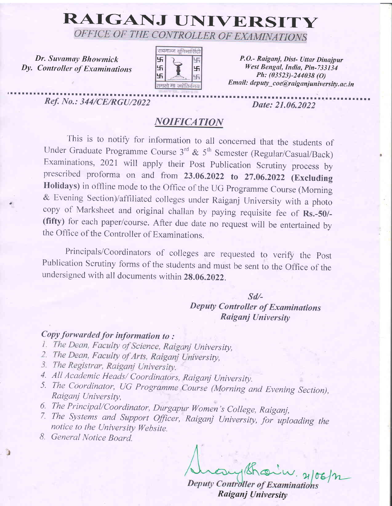# RAIGANJ UNIVERSITY

Dr. Suvamay Bhowmick Dy. Controller of Exuminations

.



P.O.- Raiganj, Dist- Uttar Dinajpur West Bengal, India, Pin-733134 Ph: (03s23)-244038 (O) Email: deputy\_coe@raiganjuniversity.ac.in

rl r I I r I r I I . I I l ' l r I I r I I tlll I I I tl r lr I I r lrrrlr tt r tt! I I ttr rtrrr t r rr r r rrrr r rr r r r r t rr rr a rrrrrr r r rrr Ref, IYo.: 344/CE/RGa/2022 Date: 21.06.20t2

### **NOIFICATION**

This is to notify for information to all concerned that the students of Under Graduate Programme Course  $3^{rd}$  &  $5^{th}$  Semester (Regular/Casual/Back) Examinations, 2021 will apply their Post Publication Scrutiny process by prescribed proforma on and from 23.06.2022 to 27.06.2022 (Excluding Holidays) in offline mode to the Office of the UG Programme Course (Morning & Evening Section)/affiliated colleges under Raiganj University with a photo copy of Marksheet and original challan by paying requisite fee of Rs.-50/-(fifty) for each paper/course. After due date no request will be entertained by the Office of the Controller of Examinations.

Principals/Coordinators of colleges are requested to verify the post Publication Scrutiny forms of the students and must be sent to the Office of the undersigned with ail documents within 2g.06.2022.

#### sd/-

## Deputy Controller of Examinations Raiganj University

Copy forwarded for information to :

- 1. The Dean, Faculty of Science, Raiganj University,
- 2. The Dean, Faculty of Arts, Raiganj University,
- 
- 3. The Registrar, Raiganj University.<br>4. All Academic Heads/ Coordinators, Raiganj University.
- 5. The Coordinator, UG Programme Course (Morning and Evening Section), Raiganj University,
- 
- 6. The Principal/Coordinator, Durgapur Women's College, Raiganj,<br>7. The Systems and Support Officer, Raiganj University, for uploading the notice to the University Website.
- 8. General Notice Board.

Deputy Controller of Examinations Raiganj University